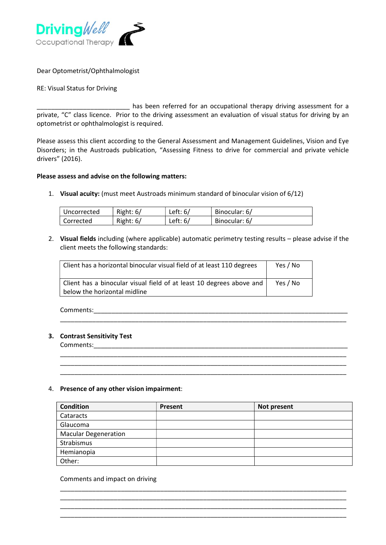

Dear Optometrist/Ophthalmologist

## RE: Visual Status for Driving

has been referred for an occupational therapy driving assessment for a private, "C" class licence. Prior to the driving assessment an evaluation of visual status for driving by an optometrist or ophthalmologist is required.

Please assess this client according to the General Assessment and Management Guidelines, Vision and Eye Disorders; in the Austroads publication, "Assessing Fitness to drive for commercial and private vehicle drivers" (2016).

## Please assess and advise on the following matters:

1. Visual acuity: (must meet Austroads minimum standard of binocular vision of 6/12)

| ∣ Uncorrected | Right: $6/$ | Left: $6/$ | Binocular: 6/ |
|---------------|-------------|------------|---------------|
| Corrected     | Right: $6/$ | Left: $6/$ | Binocular: 6/ |

2. Visual fields including (where applicable) automatic perimetry testing results – please advise if the client meets the following standards:

\_\_\_\_\_\_\_\_\_\_\_\_\_\_\_\_\_\_\_\_\_\_\_\_\_\_\_\_\_\_\_\_\_\_\_\_\_\_\_\_\_\_\_\_\_\_\_\_\_\_\_\_\_\_\_\_\_\_\_\_\_\_\_\_\_\_\_\_\_\_\_\_\_\_\_\_\_\_\_\_

\_\_\_\_\_\_\_\_\_\_\_\_\_\_\_\_\_\_\_\_\_\_\_\_\_\_\_\_\_\_\_\_\_\_\_\_\_\_\_\_\_\_\_\_\_\_\_\_\_\_\_\_\_\_\_\_\_\_\_\_\_\_\_\_\_\_\_\_\_\_\_\_\_\_\_\_\_\_\_\_ \_\_\_\_\_\_\_\_\_\_\_\_\_\_\_\_\_\_\_\_\_\_\_\_\_\_\_\_\_\_\_\_\_\_\_\_\_\_\_\_\_\_\_\_\_\_\_\_\_\_\_\_\_\_\_\_\_\_\_\_\_\_\_\_\_\_\_\_\_\_\_\_\_\_\_\_\_\_\_\_ \_\_\_\_\_\_\_\_\_\_\_\_\_\_\_\_\_\_\_\_\_\_\_\_\_\_\_\_\_\_\_\_\_\_\_\_\_\_\_\_\_\_\_\_\_\_\_\_\_\_\_\_\_\_\_\_\_\_\_\_\_\_\_\_\_\_\_\_\_\_\_\_\_\_\_\_\_\_\_\_

| Client has a horizontal binocular visual field of at least 110 degrees                               | Yes / No |
|------------------------------------------------------------------------------------------------------|----------|
| Client has a binocular visual field of at least 10 degrees above and<br>below the horizontal midline | Yes / No |

Comments:\_\_\_\_\_\_\_\_\_\_\_\_\_\_\_\_\_\_\_\_\_\_\_\_\_\_\_\_\_\_\_\_\_\_\_\_\_\_\_\_\_\_\_\_\_\_\_\_\_\_\_\_\_\_\_\_\_\_\_\_\_\_\_\_\_\_\_\_\_\_\_

## 3. Contrast Sensitivity Test

Comments:

## 4. Presence of any other vision impairment:

| <b>Condition</b>            | Present | Not present |
|-----------------------------|---------|-------------|
| Cataracts                   |         |             |
| Glaucoma                    |         |             |
| <b>Macular Degeneration</b> |         |             |
| Strabismus                  |         |             |
| Hemianopia                  |         |             |
| Other:                      |         |             |

\_\_\_\_\_\_\_\_\_\_\_\_\_\_\_\_\_\_\_\_\_\_\_\_\_\_\_\_\_\_\_\_\_\_\_\_\_\_\_\_\_\_\_\_\_\_\_\_\_\_\_\_\_\_\_\_\_\_\_\_\_\_\_\_\_\_\_\_\_\_\_\_\_\_\_\_\_\_\_\_ \_\_\_\_\_\_\_\_\_\_\_\_\_\_\_\_\_\_\_\_\_\_\_\_\_\_\_\_\_\_\_\_\_\_\_\_\_\_\_\_\_\_\_\_\_\_\_\_\_\_\_\_\_\_\_\_\_\_\_\_\_\_\_\_\_\_\_\_\_\_\_\_\_\_\_\_\_\_\_\_ \_\_\_\_\_\_\_\_\_\_\_\_\_\_\_\_\_\_\_\_\_\_\_\_\_\_\_\_\_\_\_\_\_\_\_\_\_\_\_\_\_\_\_\_\_\_\_\_\_\_\_\_\_\_\_\_\_\_\_\_\_\_\_\_\_\_\_\_\_\_\_\_\_\_\_\_\_\_\_\_ \_\_\_\_\_\_\_\_\_\_\_\_\_\_\_\_\_\_\_\_\_\_\_\_\_\_\_\_\_\_\_\_\_\_\_\_\_\_\_\_\_\_\_\_\_\_\_\_\_\_\_\_\_\_\_\_\_\_\_\_\_\_\_\_\_\_\_\_\_\_\_\_\_\_\_\_\_\_\_\_

Comments and impact on driving